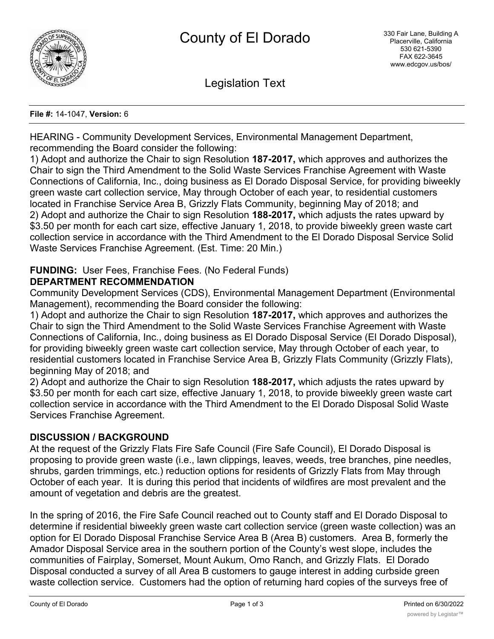

Legislation Text

#### **File #:** 14-1047, **Version:** 6

HEARING - Community Development Services, Environmental Management Department, recommending the Board consider the following:

1) Adopt and authorize the Chair to sign Resolution **187-2017,** which approves and authorizes the Chair to sign the Third Amendment to the Solid Waste Services Franchise Agreement with Waste Connections of California, Inc., doing business as El Dorado Disposal Service, for providing biweekly green waste cart collection service, May through October of each year, to residential customers located in Franchise Service Area B, Grizzly Flats Community, beginning May of 2018; and 2) Adopt and authorize the Chair to sign Resolution **188-2017,** which adjusts the rates upward by \$3.50 per month for each cart size, effective January 1, 2018, to provide biweekly green waste cart collection service in accordance with the Third Amendment to the El Dorado Disposal Service Solid Waste Services Franchise Agreement. (Est. Time: 20 Min.)

# **FUNDING:** User Fees, Franchise Fees. (No Federal Funds)

# **DEPARTMENT RECOMMENDATION**

Community Development Services (CDS), Environmental Management Department (Environmental Management), recommending the Board consider the following:

1) Adopt and authorize the Chair to sign Resolution **187-2017,** which approves and authorizes the Chair to sign the Third Amendment to the Solid Waste Services Franchise Agreement with Waste Connections of California, Inc., doing business as El Dorado Disposal Service (El Dorado Disposal), for providing biweekly green waste cart collection service, May through October of each year, to residential customers located in Franchise Service Area B, Grizzly Flats Community (Grizzly Flats), beginning May of 2018; and

2) Adopt and authorize the Chair to sign Resolution **188-2017,** which adjusts the rates upward by \$3.50 per month for each cart size, effective January 1, 2018, to provide biweekly green waste cart collection service in accordance with the Third Amendment to the El Dorado Disposal Solid Waste Services Franchise Agreement.

# **DISCUSSION / BACKGROUND**

At the request of the Grizzly Flats Fire Safe Council (Fire Safe Council), El Dorado Disposal is proposing to provide green waste (i.e., lawn clippings, leaves, weeds, tree branches, pine needles, shrubs, garden trimmings, etc.) reduction options for residents of Grizzly Flats from May through October of each year. It is during this period that incidents of wildfires are most prevalent and the amount of vegetation and debris are the greatest.

In the spring of 2016, the Fire Safe Council reached out to County staff and El Dorado Disposal to determine if residential biweekly green waste cart collection service (green waste collection) was an option for El Dorado Disposal Franchise Service Area B (Area B) customers. Area B, formerly the Amador Disposal Service area in the southern portion of the County's west slope, includes the communities of Fairplay, Somerset, Mount Aukum, Omo Ranch, and Grizzly Flats. El Dorado Disposal conducted a survey of all Area B customers to gauge interest in adding curbside green waste collection service. Customers had the option of returning hard copies of the surveys free of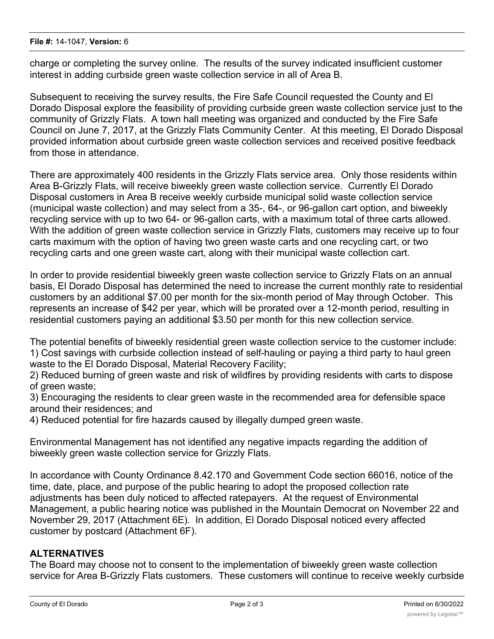charge or completing the survey online. The results of the survey indicated insufficient customer interest in adding curbside green waste collection service in all of Area B.

Subsequent to receiving the survey results, the Fire Safe Council requested the County and El Dorado Disposal explore the feasibility of providing curbside green waste collection service just to the community of Grizzly Flats. A town hall meeting was organized and conducted by the Fire Safe Council on June 7, 2017, at the Grizzly Flats Community Center. At this meeting, El Dorado Disposal provided information about curbside green waste collection services and received positive feedback from those in attendance.

There are approximately 400 residents in the Grizzly Flats service area. Only those residents within Area B-Grizzly Flats, will receive biweekly green waste collection service. Currently El Dorado Disposal customers in Area B receive weekly curbside municipal solid waste collection service (municipal waste collection) and may select from a 35-, 64-, or 96-gallon cart option, and biweekly recycling service with up to two 64- or 96-gallon carts, with a maximum total of three carts allowed. With the addition of green waste collection service in Grizzly Flats, customers may receive up to four carts maximum with the option of having two green waste carts and one recycling cart, or two recycling carts and one green waste cart, along with their municipal waste collection cart.

In order to provide residential biweekly green waste collection service to Grizzly Flats on an annual basis, El Dorado Disposal has determined the need to increase the current monthly rate to residential customers by an additional \$7.00 per month for the six-month period of May through October. This represents an increase of \$42 per year, which will be prorated over a 12-month period, resulting in residential customers paying an additional \$3.50 per month for this new collection service.

The potential benefits of biweekly residential green waste collection service to the customer include: 1) Cost savings with curbside collection instead of self-hauling or paying a third party to haul green waste to the El Dorado Disposal, Material Recovery Facility;

2) Reduced burning of green waste and risk of wildfires by providing residents with carts to dispose of green waste;

3) Encouraging the residents to clear green waste in the recommended area for defensible space around their residences; and

4) Reduced potential for fire hazards caused by illegally dumped green waste.

Environmental Management has not identified any negative impacts regarding the addition of biweekly green waste collection service for Grizzly Flats.

In accordance with County Ordinance 8.42.170 and Government Code section 66016, notice of the time, date, place, and purpose of the public hearing to adopt the proposed collection rate adjustments has been duly noticed to affected ratepayers. At the request of Environmental Management, a public hearing notice was published in the Mountain Democrat on November 22 and November 29, 2017 (Attachment 6E). In addition, El Dorado Disposal noticed every affected customer by postcard (Attachment 6F).

# **ALTERNATIVES**

The Board may choose not to consent to the implementation of biweekly green waste collection service for Area B-Grizzly Flats customers. These customers will continue to receive weekly curbside